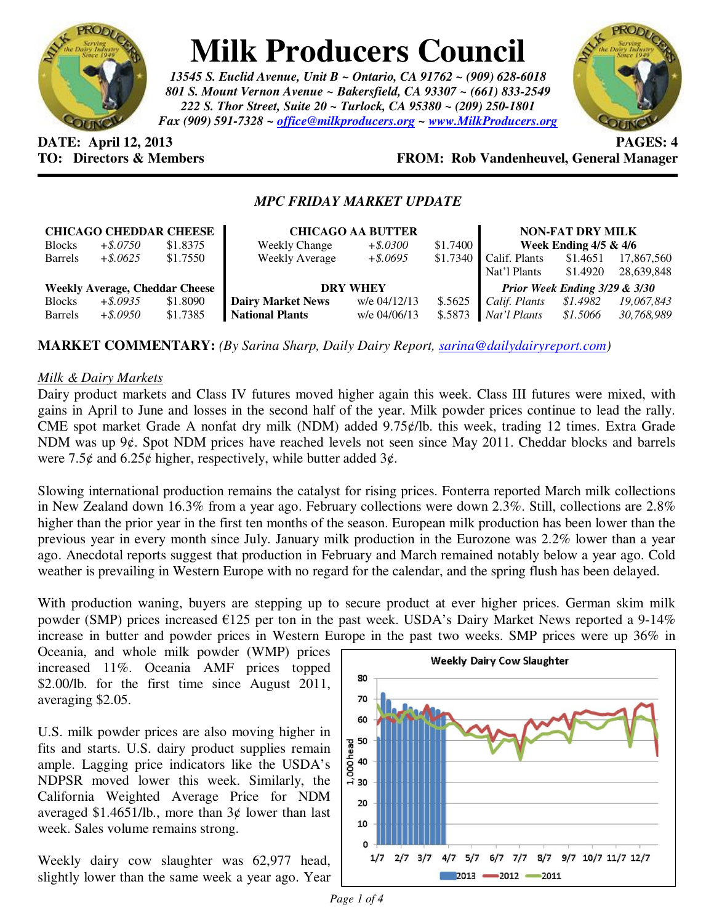

# **Milk Producers Council**

*13545 S. Euclid Avenue, Unit B ~ Ontario, CA 91762 ~ (909) 628-6018 801 S. Mount Vernon Avenue ~ Bakersfield, CA 93307 ~ (661) 833-2549 222 S. Thor Street, Suite 20 ~ Turlock, CA 95380 ~ (209) 250-1801 Fax (909) 591-7328 ~ office@milkproducers.org ~ www.MilkProducers.org*



**DATE: April 12, 2013 PAGES: 4** 

## **TO: Directors & Members FROM: Rob Vandenheuvel, General Manager**

### *MPC FRIDAY MARKET UPDATE*

| <b>CHICAGO CHEDDAR CHEESE</b>         |             |          | <b>CHICAGO AA BUTTER</b> |              |          | <b>NON-FAT DRY MILK</b>       |          |            |
|---------------------------------------|-------------|----------|--------------------------|--------------|----------|-------------------------------|----------|------------|
| <b>Blocks</b>                         | $+$ \$.0750 | \$1.8375 | <b>Weekly Change</b>     | $+$ \$.0300  | \$1.7400 | Week Ending $4/5$ & $4/6$     |          |            |
| <b>Barrels</b>                        | $+$ \$.0625 | \$1.7550 | <b>Weekly Average</b>    | $+$ \$.0695  | \$1.7340 | Calif. Plants                 | \$1.4651 | 17,867,560 |
|                                       |             |          |                          |              |          | Nat'l Plants                  | \$1.4920 | 28,639,848 |
| <b>Weekly Average, Cheddar Cheese</b> |             |          | <b>DRY WHEY</b>          |              |          | Prior Week Ending 3/29 & 3/30 |          |            |
| <b>Blocks</b>                         | $+$ \$.0935 | \$1.8090 | <b>Dairy Market News</b> | w/e 04/12/13 | \$.5625  | Calif. Plants                 | \$1.4982 | 19,067,843 |
| <b>Barrels</b>                        | $+$ \$.0950 | \$1.7385 | <b>National Plants</b>   | w/e 04/06/13 | \$.5873  | Nat'l Plants                  | \$1.5066 | 30,768,989 |

**MARKET COMMENTARY:** *(By Sarina Sharp, Daily Dairy Report, sarina@dailydairyreport.com)* 

#### *Milk & Dairy Markets*

Dairy product markets and Class IV futures moved higher again this week. Class III futures were mixed, with gains in April to June and losses in the second half of the year. Milk powder prices continue to lead the rally. CME spot market Grade A nonfat dry milk (NDM) added  $9.75$  $\ell$ /lb. this week, trading 12 times. Extra Grade NDM was up 9¢. Spot NDM prices have reached levels not seen since May 2011. Cheddar blocks and barrels were 7.5 $\acute{\epsilon}$  and 6.25 $\acute{\epsilon}$  higher, respectively, while butter added 3 $\acute{\epsilon}$ .

Slowing international production remains the catalyst for rising prices. Fonterra reported March milk collections in New Zealand down 16.3% from a year ago. February collections were down 2.3%. Still, collections are 2.8% higher than the prior year in the first ten months of the season. European milk production has been lower than the previous year in every month since July. January milk production in the Eurozone was 2.2% lower than a year ago. Anecdotal reports suggest that production in February and March remained notably below a year ago. Cold weather is prevailing in Western Europe with no regard for the calendar, and the spring flush has been delayed.

With production waning, buyers are stepping up to secure product at ever higher prices. German skim milk powder (SMP) prices increased  $\epsilon$ 125 per ton in the past week. USDA's Dairy Market News reported a 9-14% increase in butter and powder prices in Western Europe in the past two weeks. SMP prices were up 36% in

Oceania, and whole milk powder (WMP) prices increased 11%. Oceania AMF prices topped \$2.00/lb. for the first time since August 2011, averaging \$2.05.

U.S. milk powder prices are also moving higher in fits and starts. U.S. dairy product supplies remain ample. Lagging price indicators like the USDA's NDPSR moved lower this week. Similarly, the California Weighted Average Price for NDM averaged \$1.4651/lb., more than  $3¢$  lower than last week. Sales volume remains strong.

Weekly dairy cow slaughter was 62,977 head, slightly lower than the same week a year ago. Year

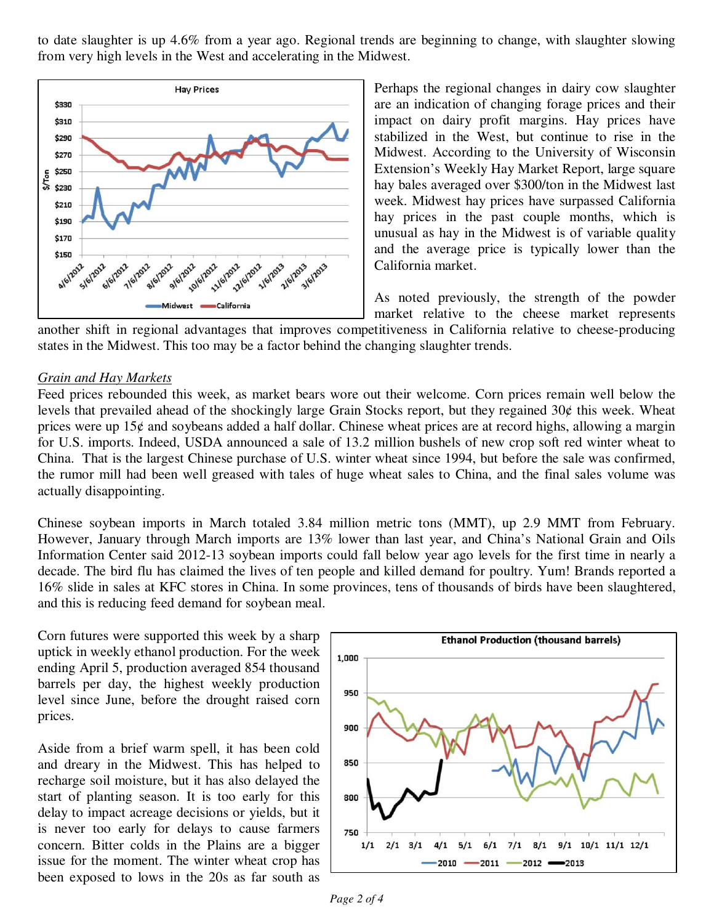to date slaughter is up 4.6% from a year ago. Regional trends are beginning to change, with slaughter slowing from very high levels in the West and accelerating in the Midwest.



Perhaps the regional changes in dairy cow slaughter are an indication of changing forage prices and their impact on dairy profit margins. Hay prices have stabilized in the West, but continue to rise in the Midwest. According to the University of Wisconsin Extension's Weekly Hay Market Report, large square hay bales averaged over \$300/ton in the Midwest last week. Midwest hay prices have surpassed California hay prices in the past couple months, which is unusual as hay in the Midwest is of variable quality and the average price is typically lower than the California market.

As noted previously, the strength of the powder market relative to the cheese market represents

another shift in regional advantages that improves competitiveness in California relative to cheese-producing states in the Midwest. This too may be a factor behind the changing slaughter trends.

#### *Grain and Hay Markets*

Feed prices rebounded this week, as market bears wore out their welcome. Corn prices remain well below the levels that prevailed ahead of the shockingly large Grain Stocks report, but they regained  $30¢$  this week. Wheat prices were up  $15¢$  and soybeans added a half dollar. Chinese wheat prices are at record highs, allowing a margin for U.S. imports. Indeed, USDA announced a sale of 13.2 million bushels of new crop soft red winter wheat to China. That is the largest Chinese purchase of U.S. winter wheat since 1994, but before the sale was confirmed, the rumor mill had been well greased with tales of huge wheat sales to China, and the final sales volume was actually disappointing.

Chinese soybean imports in March totaled 3.84 million metric tons (MMT), up 2.9 MMT from February. However, January through March imports are 13% lower than last year, and China's National Grain and Oils Information Center said 2012-13 soybean imports could fall below year ago levels for the first time in nearly a decade. The bird flu has claimed the lives of ten people and killed demand for poultry. Yum! Brands reported a 16% slide in sales at KFC stores in China. In some provinces, tens of thousands of birds have been slaughtered, and this is reducing feed demand for soybean meal.

Corn futures were supported this week by a sharp uptick in weekly ethanol production. For the week ending April 5, production averaged 854 thousand barrels per day, the highest weekly production level since June, before the drought raised corn prices.

Aside from a brief warm spell, it has been cold and dreary in the Midwest. This has helped to recharge soil moisture, but it has also delayed the start of planting season. It is too early for this delay to impact acreage decisions or yields, but it is never too early for delays to cause farmers concern. Bitter colds in the Plains are a bigger issue for the moment. The winter wheat crop has been exposed to lows in the 20s as far south as

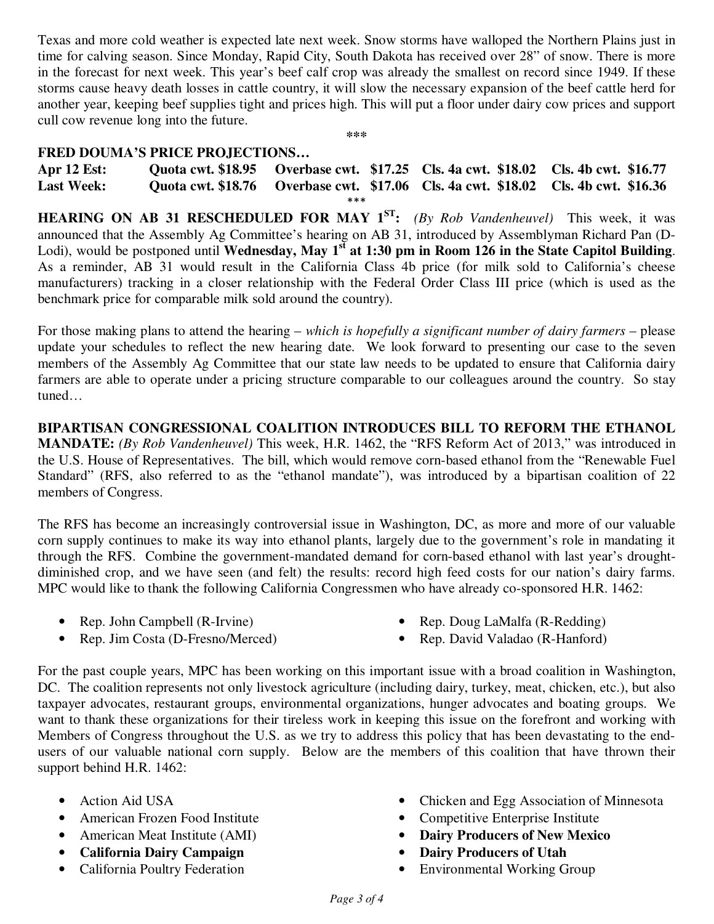Texas and more cold weather is expected late next week. Snow storms have walloped the Northern Plains just in time for calving season. Since Monday, Rapid City, South Dakota has received over 28" of snow. There is more in the forecast for next week. This year's beef calf crop was already the smallest on record since 1949. If these storms cause heavy death losses in cattle country, it will slow the necessary expansion of the beef cattle herd for another year, keeping beef supplies tight and prices high. This will put a floor under dairy cow prices and support cull cow revenue long into the future.

#### **\*\*\***

#### **FRED DOUMA'S PRICE PROJECTIONS…**

**Apr 12 Est: Quota cwt. \$18.95 Overbase cwt. \$17.25 Cls. 4a cwt. \$18.02 Cls. 4b cwt. \$16.77 Last Week: Quota cwt. \$18.76 Overbase cwt. \$17.06 Cls. 4a cwt. \$18.02 Cls. 4b cwt. \$16.36**  \*\*\*

**HEARING ON AB 31 RESCHEDULED FOR MAY 1<sup>ST</sup>:** *(By Rob Vandenheuvel)* This week, it was announced that the Assembly Ag Committee's hearing on AB 31, introduced by Assemblyman Richard Pan (D-Lodi), would be postponed until **Wednesday, May 1<sup>st</sup>** at 1:30 pm in Room 126 in the State Capitol Building. As a reminder, AB 31 would result in the California Class 4b price (for milk sold to California's cheese manufacturers) tracking in a closer relationship with the Federal Order Class III price (which is used as the benchmark price for comparable milk sold around the country).

For those making plans to attend the hearing – *which is hopefully a significant number of dairy farmers* – please update your schedules to reflect the new hearing date. We look forward to presenting our case to the seven members of the Assembly Ag Committee that our state law needs to be updated to ensure that California dairy farmers are able to operate under a pricing structure comparable to our colleagues around the country. So stay tuned…

**BIPARTISAN CONGRESSIONAL COALITION INTRODUCES BILL TO REFORM THE ETHANOL MANDATE:** *(By Rob Vandenheuvel)* This week, H.R. 1462, the "RFS Reform Act of 2013," was introduced in the U.S. House of Representatives. The bill, which would remove corn-based ethanol from the "Renewable Fuel Standard" (RFS, also referred to as the "ethanol mandate"), was introduced by a bipartisan coalition of 22 members of Congress.

The RFS has become an increasingly controversial issue in Washington, DC, as more and more of our valuable corn supply continues to make its way into ethanol plants, largely due to the government's role in mandating it through the RFS. Combine the government-mandated demand for corn-based ethanol with last year's droughtdiminished crop, and we have seen (and felt) the results: record high feed costs for our nation's dairy farms. MPC would like to thank the following California Congressmen who have already co-sponsored H.R. 1462:

• Rep. John Campbell (R-Irvine)

• Rep. Doug LaMalfa (R-Redding)

• Rep. Jim Costa (D-Fresno/Merced)

• Rep. David Valadao (R-Hanford)

For the past couple years, MPC has been working on this important issue with a broad coalition in Washington, DC. The coalition represents not only livestock agriculture (including dairy, turkey, meat, chicken, etc.), but also taxpayer advocates, restaurant groups, environmental organizations, hunger advocates and boating groups. We want to thank these organizations for their tireless work in keeping this issue on the forefront and working with Members of Congress throughout the U.S. as we try to address this policy that has been devastating to the endusers of our valuable national corn supply. Below are the members of this coalition that have thrown their support behind H.R. 1462:

- Action Aid USA
- American Frozen Food Institute
- American Meat Institute (AMI)
- **California Dairy Campaign**
- California Poultry Federation
- Chicken and Egg Association of Minnesota
- Competitive Enterprise Institute
- **Dairy Producers of New Mexico**
- **Dairy Producers of Utah**
- Environmental Working Group